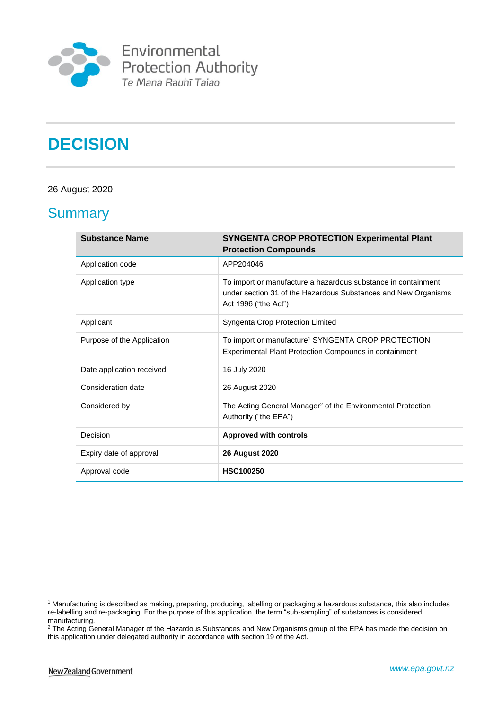

# **DECISION**

#### 26 August 2020

### **Summary**

| <b>Substance Name</b>      | <b>SYNGENTA CROP PROTECTION Experimental Plant</b><br><b>Protection Compounds</b>                                                                       |
|----------------------------|---------------------------------------------------------------------------------------------------------------------------------------------------------|
| Application code           | APP204046                                                                                                                                               |
| Application type           | To import or manufacture a hazardous substance in containment<br>under section 31 of the Hazardous Substances and New Organisms<br>Act 1996 ("the Act") |
| Applicant                  | Syngenta Crop Protection Limited                                                                                                                        |
| Purpose of the Application | To import or manufacture <sup>1</sup> SYNGENTA CROP PROTECTION<br><b>Experimental Plant Protection Compounds in containment</b>                         |
| Date application received  | 16 July 2020                                                                                                                                            |
| Consideration date         | 26 August 2020                                                                                                                                          |
| Considered by              | The Acting General Manager <sup>2</sup> of the Environmental Protection<br>Authority ("the EPA")                                                        |
| Decision                   | <b>Approved with controls</b>                                                                                                                           |
| Expiry date of approval    | <b>26 August 2020</b>                                                                                                                                   |
| Approval code              | <b>HSC100250</b>                                                                                                                                        |

<sup>1</sup> <sup>1</sup> Manufacturing is described as making, preparing, producing, labelling or packaging a hazardous substance, this also includes re-labelling and re-packaging. For the purpose of this application, the term "sub-sampling" of substances is considered manufacturing.

<sup>&</sup>lt;sup>2</sup> The Acting General Manager of the Hazardous Substances and New Organisms group of the EPA has made the decision on this application under delegated authority in accordance with section 19 of the Act.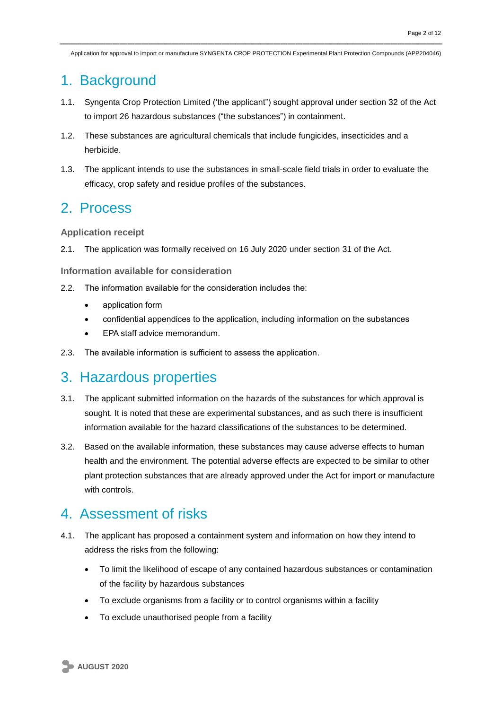### 1. Background

- 1.1. Syngenta Crop Protection Limited ('the applicant") sought approval under section 32 of the Act to import 26 hazardous substances ("the substances") in containment.
- 1.2. These substances are agricultural chemicals that include fungicides, insecticides and a herbicide.
- 1.3. The applicant intends to use the substances in small-scale field trials in order to evaluate the efficacy, crop safety and residue profiles of the substances.

### 2. Process

**Application receipt**

2.1. The application was formally received on 16 July 2020 under section 31 of the Act.

**Information available for consideration**

- 2.2. The information available for the consideration includes the:
	- application form
	- confidential appendices to the application, including information on the substances
	- EPA staff advice memorandum.
- 2.3. The available information is sufficient to assess the application.

### 3. Hazardous properties

- 3.1. The applicant submitted information on the hazards of the substances for which approval is sought. It is noted that these are experimental substances, and as such there is insufficient information available for the hazard classifications of the substances to be determined.
- 3.2. Based on the available information, these substances may cause adverse effects to human health and the environment. The potential adverse effects are expected to be similar to other plant protection substances that are already approved under the Act for import or manufacture with controls.

### 4. Assessment of risks

- 4.1. The applicant has proposed a containment system and information on how they intend to address the risks from the following:
	- To limit the likelihood of escape of any contained hazardous substances or contamination of the facility by hazardous substances
	- To exclude organisms from a facility or to control organisms within a facility
	- To exclude unauthorised people from a facility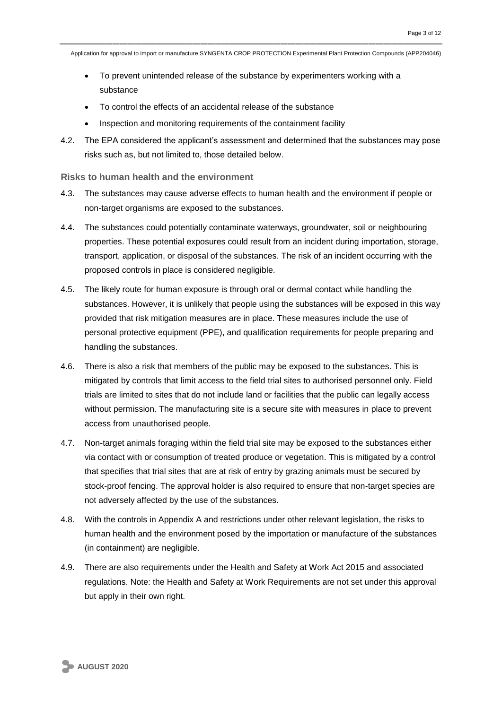- To prevent unintended release of the substance by experimenters working with a substance
- To control the effects of an accidental release of the substance
- Inspection and monitoring requirements of the containment facility
- 4.2. The EPA considered the applicant's assessment and determined that the substances may pose risks such as, but not limited to, those detailed below.

**Risks to human health and the environment**

- 4.3. The substances may cause adverse effects to human health and the environment if people or non-target organisms are exposed to the substances.
- 4.4. The substances could potentially contaminate waterways, groundwater, soil or neighbouring properties. These potential exposures could result from an incident during importation, storage, transport, application, or disposal of the substances. The risk of an incident occurring with the proposed controls in place is considered negligible.
- 4.5. The likely route for human exposure is through oral or dermal contact while handling the substances. However, it is unlikely that people using the substances will be exposed in this way provided that risk mitigation measures are in place. These measures include the use of personal protective equipment (PPE), and qualification requirements for people preparing and handling the substances.
- 4.6. There is also a risk that members of the public may be exposed to the substances. This is mitigated by controls that limit access to the field trial sites to authorised personnel only. Field trials are limited to sites that do not include land or facilities that the public can legally access without permission. The manufacturing site is a secure site with measures in place to prevent access from unauthorised people.
- 4.7. Non-target animals foraging within the field trial site may be exposed to the substances either via contact with or consumption of treated produce or vegetation. This is mitigated by a control that specifies that trial sites that are at risk of entry by grazing animals must be secured by stock-proof fencing. The approval holder is also required to ensure that non-target species are not adversely affected by the use of the substances.
- 4.8. With the controls in Appendix A and restrictions under other relevant legislation, the risks to human health and the environment posed by the importation or manufacture of the substances (in containment) are negligible.
- 4.9. There are also requirements under the Health and Safety at Work Act 2015 and associated regulations. Note: the Health and Safety at Work Requirements are not set under this approval but apply in their own right.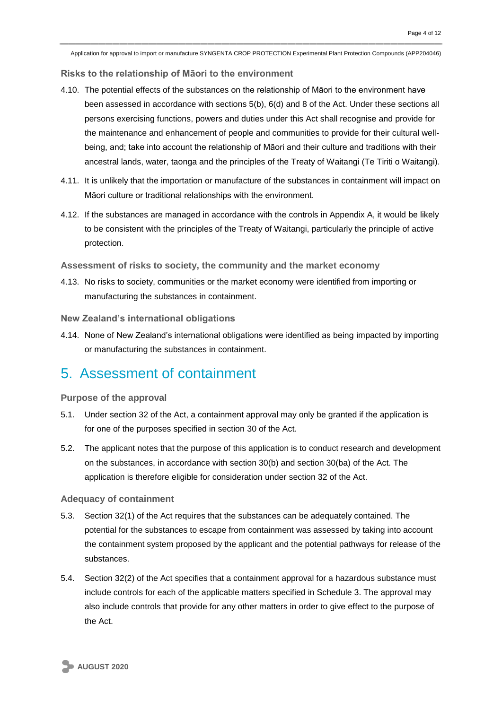**Risks to the relationship of Māori to the environment**

- 4.10. The potential effects of the substances on the relationship of Māori to the environment have been assessed in accordance with sections 5(b), 6(d) and 8 of the Act. Under these sections all persons exercising functions, powers and duties under this Act shall recognise and provide for the maintenance and enhancement of people and communities to provide for their cultural wellbeing, and; take into account the relationship of Māori and their culture and traditions with their ancestral lands, water, taonga and the principles of the Treaty of Waitangi (Te Tiriti o Waitangi).
- 4.11. It is unlikely that the importation or manufacture of the substances in containment will impact on Māori culture or traditional relationships with the environment.
- 4.12. If the substances are managed in accordance with the controls in Appendix A, it would be likely to be consistent with the principles of the Treaty of Waitangi, particularly the principle of active protection.

**Assessment of risks to society, the community and the market economy**

4.13. No risks to society, communities or the market economy were identified from importing or manufacturing the substances in containment.

**New Zealand's international obligations**

4.14. None of New Zealand's international obligations were identified as being impacted by importing or manufacturing the substances in containment.

### 5. Assessment of containment

**Purpose of the approval**

- 5.1. Under section 32 of the Act, a containment approval may only be granted if the application is for one of the purposes specified in section 30 of the Act.
- 5.2. The applicant notes that the purpose of this application is to conduct research and development on the substances, in accordance with section 30(b) and section 30(ba) of the Act. The application is therefore eligible for consideration under section 32 of the Act.

**Adequacy of containment** 

- 5.3. Section 32(1) of the Act requires that the substances can be adequately contained. The potential for the substances to escape from containment was assessed by taking into account the containment system proposed by the applicant and the potential pathways for release of the substances.
- 5.4. Section 32(2) of the Act specifies that a containment approval for a hazardous substance must include controls for each of the applicable matters specified in Schedule 3. The approval may also include controls that provide for any other matters in order to give effect to the purpose of the Act.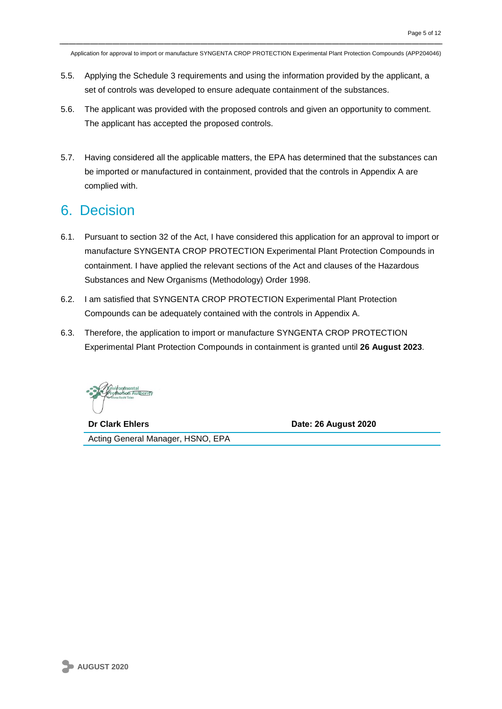- 5.5. Applying the Schedule 3 requirements and using the information provided by the applicant, a set of controls was developed to ensure adequate containment of the substances.
- 5.6. The applicant was provided with the proposed controls and given an opportunity to comment. The applicant has accepted the proposed controls.
- 5.7. Having considered all the applicable matters, the EPA has determined that the substances can be imported or manufactured in containment, provided that the controls in Appendix A are complied with.

### 6. Decision

- 6.1. Pursuant to section 32 of the Act, I have considered this application for an approval to import or manufacture SYNGENTA CROP PROTECTION Experimental Plant Protection Compounds in containment. I have applied the relevant sections of the Act and clauses of the Hazardous Substances and New Organisms (Methodology) Order 1998.
- 6.2. I am satisfied that SYNGENTA CROP PROTECTION Experimental Plant Protection Compounds can be adequately contained with the controls in Appendix A.
- 6.3. Therefore, the application to import or manufacture SYNGENTA CROP PROTECTION Experimental Plant Protection Compounds in containment is granted until **26 August 2023**.

**Dr Clark Ehlers Date: 26 August 2020**

Acting General Manager, HSNO, EPA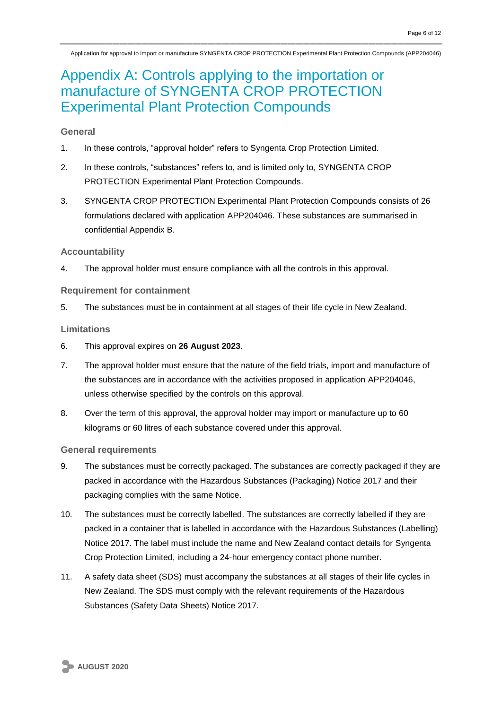## Appendix A: Controls applying to the importation or manufacture of SYNGENTA CROP PROTECTION Experimental Plant Protection Compounds

#### **General**

- 1. In these controls, "approval holder" refers to Syngenta Crop Protection Limited.
- 2. In these controls, "substances" refers to, and is limited only to, SYNGENTA CROP PROTECTION Experimental Plant Protection Compounds.
- 3. SYNGENTA CROP PROTECTION Experimental Plant Protection Compounds consists of 26 formulations declared with application APP204046. These substances are summarised in confidential Appendix B.

#### **Accountability**

4. The approval holder must ensure compliance with all the controls in this approval.

#### **Requirement for containment**

5. The substances must be in containment at all stages of their life cycle in New Zealand.

#### **Limitations**

- 6. This approval expires on **26 August 2023**.
- 7. The approval holder must ensure that the nature of the field trials, import and manufacture of the substances are in accordance with the activities proposed in application APP204046, unless otherwise specified by the controls on this approval.
- 8. Over the term of this approval, the approval holder may import or manufacture up to 60 kilograms or 60 litres of each substance covered under this approval.

#### **General requirements**

- 9. The substances must be correctly packaged. The substances are correctly packaged if they are packed in accordance with the Hazardous Substances (Packaging) Notice 2017 and their packaging complies with the same Notice.
- 10. The substances must be correctly labelled. The substances are correctly labelled if they are packed in a container that is labelled in accordance with the Hazardous Substances (Labelling) Notice 2017. The label must include the name and New Zealand contact details for Syngenta Crop Protection Limited, including a 24-hour emergency contact phone number.
- 11. A safety data sheet (SDS) must accompany the substances at all stages of their life cycles in New Zealand. The SDS must comply with the relevant requirements of the Hazardous Substances (Safety Data Sheets) Notice 2017.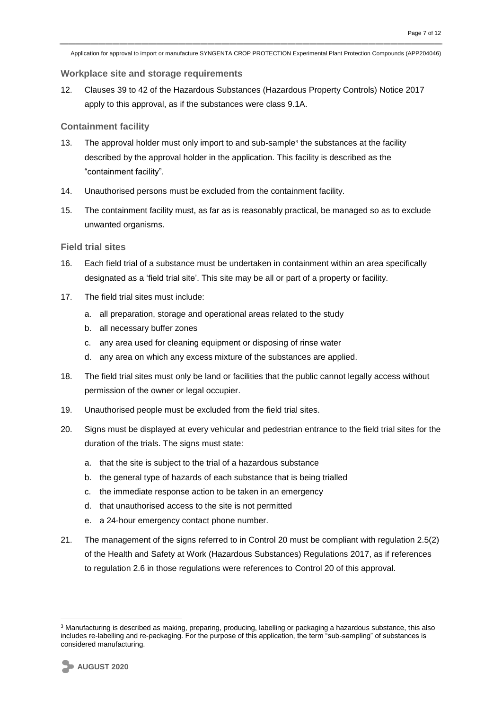#### **Workplace site and storage requirements**

12. Clauses 39 to 42 of the Hazardous Substances (Hazardous Property Controls) Notice 2017 apply to this approval, as if the substances were class 9.1A.

#### **Containment facility**

- 13. The approval holder must only import to and sub-sample<sup>3</sup> the substances at the facility described by the approval holder in the application. This facility is described as the "containment facility".
- 14. Unauthorised persons must be excluded from the containment facility.
- 15. The containment facility must, as far as is reasonably practical, be managed so as to exclude unwanted organisms.

#### **Field trial sites**

- 16. Each field trial of a substance must be undertaken in containment within an area specifically designated as a 'field trial site'. This site may be all or part of a property or facility.
- 17. The field trial sites must include:
	- a. all preparation, storage and operational areas related to the study
	- b. all necessary buffer zones
	- c. any area used for cleaning equipment or disposing of rinse water
	- d. any area on which any excess mixture of the substances are applied.
- 18. The field trial sites must only be land or facilities that the public cannot legally access without permission of the owner or legal occupier.
- 19. Unauthorised people must be excluded from the field trial sites.
- 20. Signs must be displayed at every vehicular and pedestrian entrance to the field trial sites for the duration of the trials. The signs must state:
	- a. that the site is subject to the trial of a hazardous substance
	- b. the general type of hazards of each substance that is being trialled
	- c. the immediate response action to be taken in an emergency
	- d. that unauthorised access to the site is not permitted
	- e. a 24-hour emergency contact phone number.
- 21. The management of the signs referred to in Control 20 must be compliant with regulation 2.5(2) of the Health and Safety at Work (Hazardous Substances) Regulations 2017, as if references to regulation 2.6 in those regulations were references to Control 20 of this approval.

<sup>&</sup>lt;u>.</u> <sup>3</sup> Manufacturing is described as making, preparing, producing, labelling or packaging a hazardous substance, this also includes re-labelling and re-packaging. For the purpose of this application, the term "sub-sampling" of substances is considered manufacturing.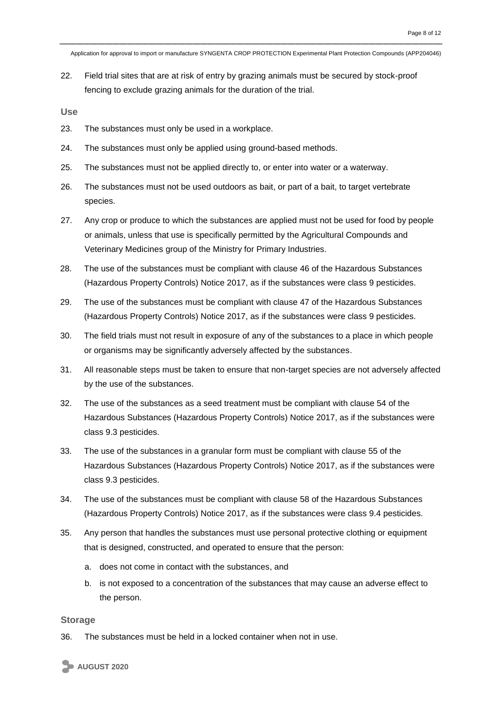22. Field trial sites that are at risk of entry by grazing animals must be secured by stock-proof fencing to exclude grazing animals for the duration of the trial.

**Use**

- 23. The substances must only be used in a workplace.
- 24. The substances must only be applied using ground-based methods.
- 25. The substances must not be applied directly to, or enter into water or a waterway.
- 26. The substances must not be used outdoors as bait, or part of a bait, to target vertebrate species.
- 27. Any crop or produce to which the substances are applied must not be used for food by people or animals, unless that use is specifically permitted by the Agricultural Compounds and Veterinary Medicines group of the Ministry for Primary Industries.
- 28. The use of the substances must be compliant with clause 46 of the Hazardous Substances (Hazardous Property Controls) Notice 2017, as if the substances were class 9 pesticides.
- 29. The use of the substances must be compliant with clause 47 of the Hazardous Substances (Hazardous Property Controls) Notice 2017, as if the substances were class 9 pesticides.
- 30. The field trials must not result in exposure of any of the substances to a place in which people or organisms may be significantly adversely affected by the substances.
- 31. All reasonable steps must be taken to ensure that non-target species are not adversely affected by the use of the substances.
- 32. The use of the substances as a seed treatment must be compliant with clause 54 of the Hazardous Substances (Hazardous Property Controls) Notice 2017, as if the substances were class 9.3 pesticides.
- 33. The use of the substances in a granular form must be compliant with clause 55 of the Hazardous Substances (Hazardous Property Controls) Notice 2017, as if the substances were class 9.3 pesticides.
- 34. The use of the substances must be compliant with clause 58 of the Hazardous Substances (Hazardous Property Controls) Notice 2017, as if the substances were class 9.4 pesticides.
- 35. Any person that handles the substances must use personal protective clothing or equipment that is designed, constructed, and operated to ensure that the person:
	- a. does not come in contact with the substances, and
	- b. is not exposed to a concentration of the substances that may cause an adverse effect to the person.

#### **Storage**

36. The substances must be held in a locked container when not in use.

**AUGUST 2020**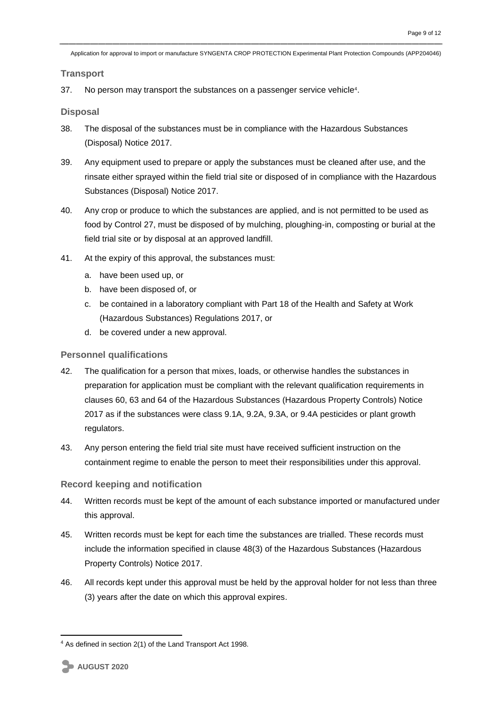**Transport**

37. No person may transport the substances on a passenger service vehicle<sup>4</sup>.

**Disposal**

- 38. The disposal of the substances must be in compliance with the Hazardous Substances (Disposal) Notice 2017.
- 39. Any equipment used to prepare or apply the substances must be cleaned after use, and the rinsate either sprayed within the field trial site or disposed of in compliance with the Hazardous Substances (Disposal) Notice 2017.
- 40. Any crop or produce to which the substances are applied, and is not permitted to be used as food by Control 27, must be disposed of by mulching, ploughing-in, composting or burial at the field trial site or by disposal at an approved landfill.
- 41. At the expiry of this approval, the substances must:
	- a. have been used up, or
	- b. have been disposed of, or
	- c. be contained in a laboratory compliant with Part 18 of the Health and Safety at Work (Hazardous Substances) Regulations 2017, or
	- d. be covered under a new approval.

#### **Personnel qualifications**

- 42. The qualification for a person that mixes, loads, or otherwise handles the substances in preparation for application must be compliant with the relevant qualification requirements in clauses 60, 63 and 64 of the Hazardous Substances (Hazardous Property Controls) Notice 2017 as if the substances were class 9.1A, 9.2A, 9.3A, or 9.4A pesticides or plant growth regulators.
- 43. Any person entering the field trial site must have received sufficient instruction on the containment regime to enable the person to meet their responsibilities under this approval.

#### **Record keeping and notification**

- 44. Written records must be kept of the amount of each substance imported or manufactured under this approval.
- 45. Written records must be kept for each time the substances are trialled. These records must include the information specified in clause 48(3) of the Hazardous Substances (Hazardous Property Controls) Notice 2017.
- 46. All records kept under this approval must be held by the approval holder for not less than three (3) years after the date on which this approval expires.

<sup>&</sup>lt;u>.</u> <sup>4</sup> As defined in section 2(1) of the Land Transport Act 1998.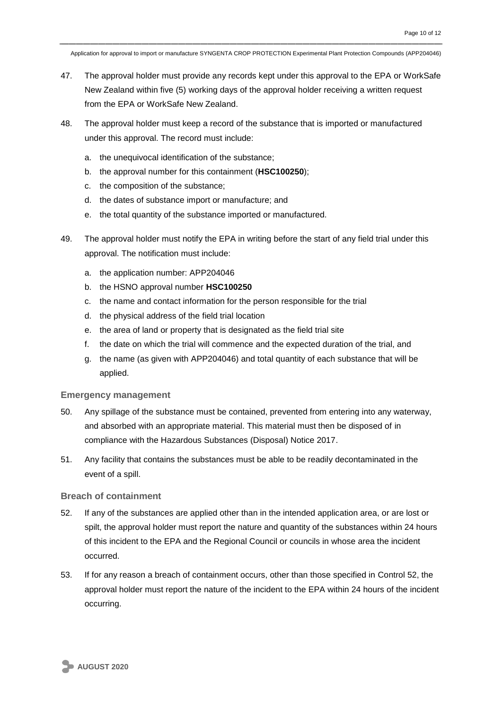- 47. The approval holder must provide any records kept under this approval to the EPA or WorkSafe New Zealand within five (5) working days of the approval holder receiving a written request from the EPA or WorkSafe New Zealand.
- 48. The approval holder must keep a record of the substance that is imported or manufactured under this approval. The record must include:
	- a. the unequivocal identification of the substance;
	- b. the approval number for this containment (**HSC100250**);
	- c. the composition of the substance;
	- d. the dates of substance import or manufacture; and
	- e. the total quantity of the substance imported or manufactured.
- 49. The approval holder must notify the EPA in writing before the start of any field trial under this approval. The notification must include:
	- a. the application number: APP204046
	- b. the HSNO approval number **HSC100250**
	- c. the name and contact information for the person responsible for the trial
	- d. the physical address of the field trial location
	- e. the area of land or property that is designated as the field trial site
	- f. the date on which the trial will commence and the expected duration of the trial, and
	- g. the name (as given with APP204046) and total quantity of each substance that will be applied.

#### **Emergency management**

- 50. Any spillage of the substance must be contained, prevented from entering into any waterway, and absorbed with an appropriate material. This material must then be disposed of in compliance with the Hazardous Substances (Disposal) Notice 2017.
- 51. Any facility that contains the substances must be able to be readily decontaminated in the event of a spill.

#### **Breach of containment**

- 52. If any of the substances are applied other than in the intended application area, or are lost or spilt, the approval holder must report the nature and quantity of the substances within 24 hours of this incident to the EPA and the Regional Council or councils in whose area the incident occurred.
- 53. If for any reason a breach of containment occurs, other than those specified in Control 52, the approval holder must report the nature of the incident to the EPA within 24 hours of the incident occurring.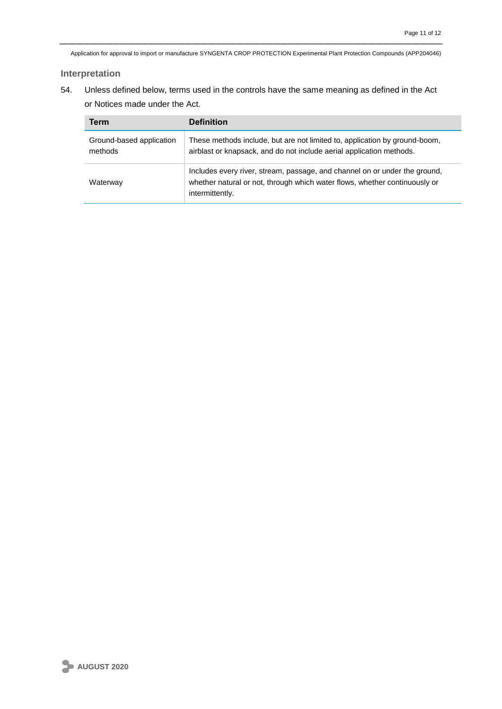#### **Interpretation**

54. Unless defined below, terms used in the controls have the same meaning as defined in the Act or Notices made under the Act.

| Term                                | <b>Definition</b>                                                                                                                                                           |
|-------------------------------------|-----------------------------------------------------------------------------------------------------------------------------------------------------------------------------|
| Ground-based application<br>methods | These methods include, but are not limited to, application by ground-boom,<br>airblast or knapsack, and do not include aerial application methods.                          |
| Waterway                            | Includes every river, stream, passage, and channel on or under the ground,<br>whether natural or not, through which water flows, whether continuously or<br>intermittently. |